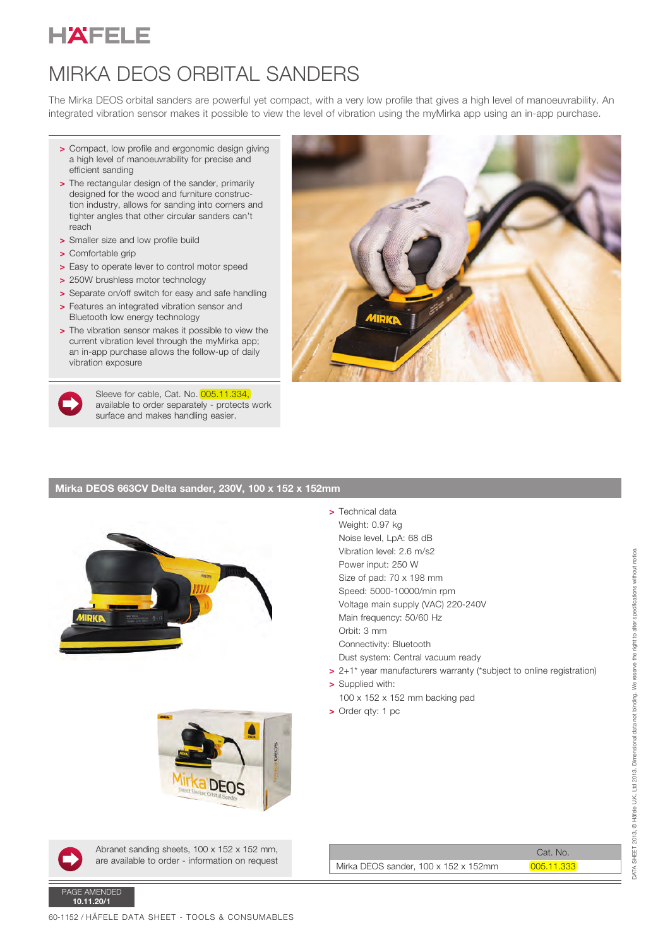

## MIRKA DEOS ORBITAL SANDERS

The Mirka DEOS orbital sanders are powerful yet compact, with a very low profile that gives a high level of manoeuvrability. An integrated vibration sensor makes it possible to view the level of vibration using the myMirka app using an in-app purchase.

> > Technical data Weight: 0.97 kg Noise level, LpA: 68 dB Vibration level: 2.6 m/s2 Power input: 250 W Size of pad: 70 x 198 mm Speed: 5000-10000/min rpm Voltage main supply (VAC) 220-240V

Orbit: 3 mm

> Supplied with:

> Order qty: 1 pc

Main frequency: 50/60 Hz

Dust system: Central vacuum ready

100 x 152 x 152 mm backing pad

Connectivity: Bluetooth

- > Compact, low profile and ergonomic design giving a high level of manoeuvrability for precise and efficient sanding
- > The rectangular design of the sander, primarily designed for the wood and furniture construction industry, allows for sanding into corners and tighter angles that other circular sanders can't reach
- > Smaller size and low profile build
- > Comfortable grip
- > Easy to operate lever to control motor speed
- > 250W brushless motor technology
- > Separate on/off switch for easy and safe handling
- > Features an integrated vibration sensor and
- Bluetooth low energy technology > The vibration sensor makes it possible to view the current vibration level through the myMirka app; an in-app purchase allows the follow-up of daily vibration exposure



Sleeve for cable, Cat. No. 005.11.334, available to order separately - protects work surface and makes handling easier.



## Mirka DEOS 663CV Delta sander, 230V, 100 x 152 x 152mm





Abranet sanding sheets, 100 x 152 x 152 mm, are available to order - information on request

|                                      | Cat. No.   |
|--------------------------------------|------------|
| Mirka DEOS sander, 100 x 152 x 152mm | 005.11.333 |

> 2+1\* year manufacturers warranty (\*subject to online registration)